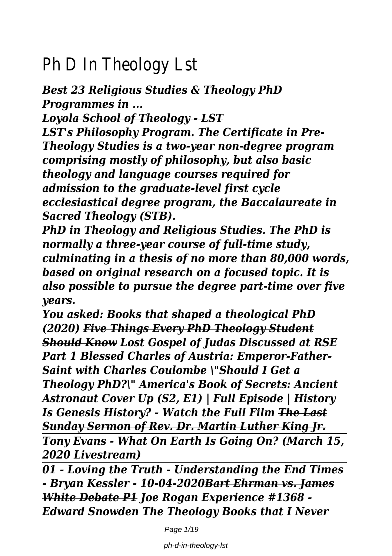# Ph D In Theology

## *Best 23 Religious Studies & Theology PhD Programmes in ...*

*Loyola School of Theology - LST*

*LST's Philosophy Program. The Certificate in Pre-Theology Studies is a two-year non-degree program comprising mostly of philosophy, but also basic theology and language courses required for admission to the graduate-level first cycle ecclesiastical degree program, the Baccalaureate in Sacred Theology (STB).*

*PhD in Theology and Religious Studies. The PhD is normally a three-year course of full-time study, culminating in a thesis of no more than 80,000 words, based on original research on a focused topic. It is also possible to pursue the degree part-time over five years.*

*You asked: Books that shaped a theological PhD (2020) Five Things Every PhD Theology Student Should Know Lost Gospel of Judas Discussed at RSE Part 1 Blessed Charles of Austria: Emperor-Father-Saint with Charles Coulombe \"Should I Get a Theology PhD?\" America's Book of Secrets: Ancient Astronaut Cover Up (S2, E1) | Full Episode | History Is Genesis History? - Watch the Full Film The Last Sunday Sermon of Rev. Dr. Martin Luther King Jr. Tony Evans - What On Earth Is Going On? (March 15, 2020 Livestream)*

*01 - Loving the Truth - Understanding the End Times - Bryan Kessler - 10-04-2020Bart Ehrman vs. James White Debate P1 Joe Rogan Experience #1368 - Edward Snowden The Theology Books that I Never*

Page  $1/19$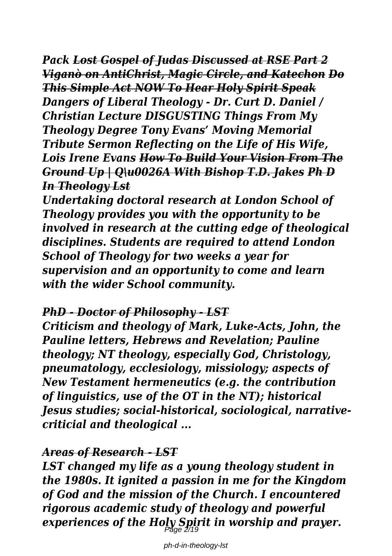*Pack Lost Gospel of Judas Discussed at RSE Part 2 Viganò on AntiChrist, Magic Circle, and Katechon Do This Simple Act NOW To Hear Holy Spirit Speak Dangers of Liberal Theology - Dr. Curt D. Daniel / Christian Lecture DISGUSTING Things From My Theology Degree Tony Evans' Moving Memorial Tribute Sermon Reflecting on the Life of His Wife, Lois Irene Evans How To Build Your Vision From The Ground Up | Q\u0026A With Bishop T.D. Jakes Ph D In Theology Lst*

*Undertaking doctoral research at London School of Theology provides you with the opportunity to be involved in research at the cutting edge of theological disciplines. Students are required to attend London School of Theology for two weeks a year for supervision and an opportunity to come and learn with the wider School community.*

#### *PhD - Doctor of Philosophy - LST*

*Criticism and theology of Mark, Luke-Acts, John, the Pauline letters, Hebrews and Revelation; Pauline theology; NT theology, especially God, Christology, pneumatology, ecclesiology, missiology; aspects of New Testament hermeneutics (e.g. the contribution of linguistics, use of the OT in the NT); historical Jesus studies; social-historical, sociological, narrativecriticial and theological ...*

#### *Areas of Research - LST*

*LST changed my life as a young theology student in the 1980s. It ignited a passion in me for the Kingdom of God and the mission of the Church. I encountered rigorous academic study of theology and powerful experiences of the Holy Spirit in worship and prayer.* Page 2/19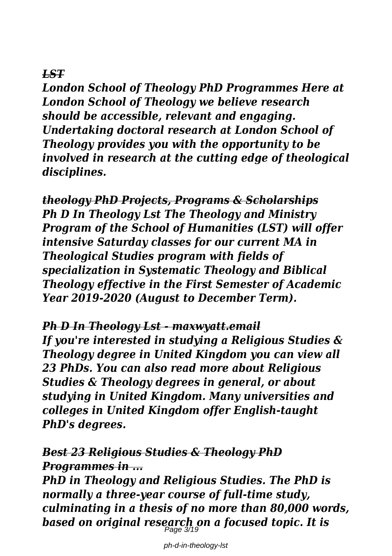### *LST*

*London School of Theology PhD Programmes Here at London School of Theology we believe research should be accessible, relevant and engaging. Undertaking doctoral research at London School of Theology provides you with the opportunity to be involved in research at the cutting edge of theological disciplines.*

*theology PhD Projects, Programs & Scholarships Ph D In Theology Lst The Theology and Ministry Program of the School of Humanities (LST) will offer intensive Saturday classes for our current MA in Theological Studies program with fields of specialization in Systematic Theology and Biblical Theology effective in the First Semester of Academic Year 2019-2020 (August to December Term).*

#### *Ph D In Theology Lst - maxwyatt.email*

*If you're interested in studying a Religious Studies & Theology degree in United Kingdom you can view all 23 PhDs. You can also read more about Religious Studies & Theology degrees in general, or about studying in United Kingdom. Many universities and colleges in United Kingdom offer English-taught PhD's degrees.*

### *Best 23 Religious Studies & Theology PhD Programmes in ...*

*PhD in Theology and Religious Studies. The PhD is normally a three-year course of full-time study, culminating in a thesis of no more than 80,000 words, based on original research on a focused topic. It is* Page 3/19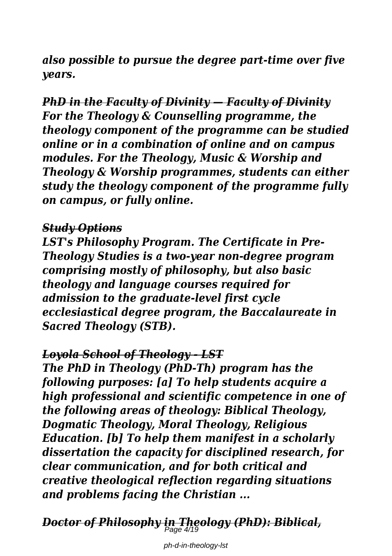*also possible to pursue the degree part-time over five years.*

*PhD in the Faculty of Divinity — Faculty of Divinity For the Theology & Counselling programme, the theology component of the programme can be studied online or in a combination of online and on campus modules. For the Theology, Music & Worship and Theology & Worship programmes, students can either study the theology component of the programme fully on campus, or fully online.*

#### *Study Options*

*LST's Philosophy Program. The Certificate in Pre-Theology Studies is a two-year non-degree program comprising mostly of philosophy, but also basic theology and language courses required for admission to the graduate-level first cycle ecclesiastical degree program, the Baccalaureate in Sacred Theology (STB).*

#### *Loyola School of Theology - LST*

*The PhD in Theology (PhD-Th) program has the following purposes: [a] To help students acquire a high professional and scientific competence in one of the following areas of theology: Biblical Theology, Dogmatic Theology, Moral Theology, Religious Education. [b] To help them manifest in a scholarly dissertation the capacity for disciplined research, for clear communication, and for both critical and creative theological reflection regarding situations and problems facing the Christian ...*

*Doctor of Philosophy in Theology (PhD): Biblical,* Page 4/19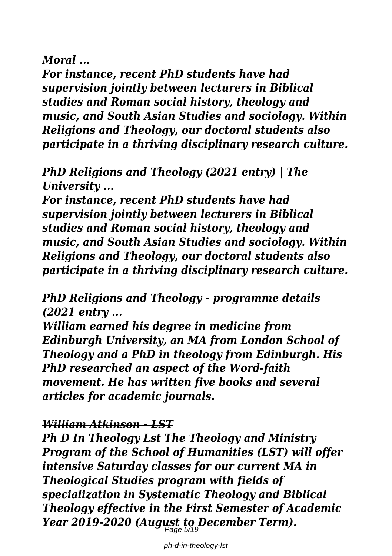#### *Moral ...*

*For instance, recent PhD students have had supervision jointly between lecturers in Biblical studies and Roman social history, theology and music, and South Asian Studies and sociology. Within Religions and Theology, our doctoral students also participate in a thriving disciplinary research culture.*

### *PhD Religions and Theology (2021 entry) | The University ...*

*For instance, recent PhD students have had supervision jointly between lecturers in Biblical studies and Roman social history, theology and music, and South Asian Studies and sociology. Within Religions and Theology, our doctoral students also participate in a thriving disciplinary research culture.*

### *PhD Religions and Theology - programme details (2021 entry ...*

*William earned his degree in medicine from Edinburgh University, an MA from London School of Theology and a PhD in theology from Edinburgh. His PhD researched an aspect of the Word-faith movement. He has written five books and several articles for academic journals.*

### *William Atkinson - LST*

*Ph D In Theology Lst The Theology and Ministry Program of the School of Humanities (LST) will offer intensive Saturday classes for our current MA in Theological Studies program with fields of specialization in Systematic Theology and Biblical Theology effective in the First Semester of Academic Year 2019-2020 (August to December Term).* Page 5/19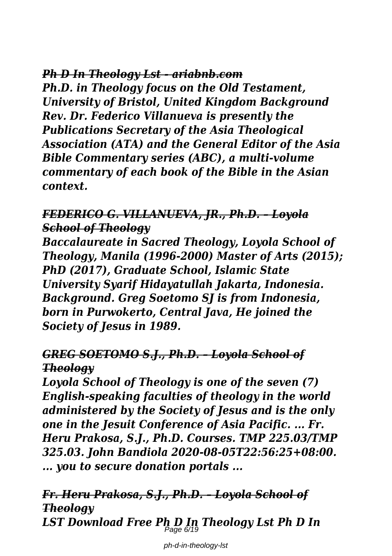#### *Ph D In Theology Lst - ariabnb.com*

*Ph.D. in Theology focus on the Old Testament, University of Bristol, United Kingdom Background Rev. Dr. Federico Villanueva is presently the Publications Secretary of the Asia Theological Association (ATA) and the General Editor of the Asia Bible Commentary series (ABC), a multi-volume commentary of each book of the Bible in the Asian context.*

### *FEDERICO G. VILLANUEVA, JR., Ph.D. – Loyola School of Theology*

*Baccalaureate in Sacred Theology, Loyola School of Theology, Manila (1996-2000) Master of Arts (2015); PhD (2017), Graduate School, Islamic State University Syarif Hidayatullah Jakarta, Indonesia. Background. Greg Soetomo SJ is from Indonesia, born in Purwokerto, Central Java, He joined the Society of Jesus in 1989.*

### *GREG SOETOMO S.J., Ph.D. – Loyola School of Theology*

*Loyola School of Theology is one of the seven (7) English-speaking faculties of theology in the world administered by the Society of Jesus and is the only one in the Jesuit Conference of Asia Pacific. ... Fr. Heru Prakosa, S.J., Ph.D. Courses. TMP 225.03/TMP 325.03. John Bandiola 2020-08-05T22:56:25+08:00. ... you to secure donation portals ...*

*Fr. Heru Prakosa, S.J., Ph.D. – Loyola School of Theology LST Download Free Ph D In Theology Lst Ph D In* Page 6/19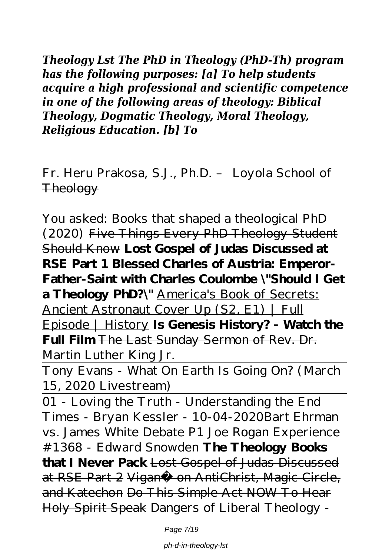*Theology Lst The PhD in Theology (PhD-Th) program has the following purposes: [a] To help students acquire a high professional and scientific competence in one of the following areas of theology: Biblical Theology, Dogmatic Theology, Moral Theology, Religious Education. [b] To*

Fr. Heru Prakosa, S.J., Ph.D. – Loyola School of **Theology** 

*You asked: Books that shaped a theological PhD (2020)* Five Things Every PhD Theology Student Should Know **Lost Gospel of Judas Discussed at RSE Part 1 Blessed Charles of Austria: Emperor-Father-Saint with Charles Coulombe \"Should I Get a Theology PhD?\"** America's Book of Secrets: Ancient Astronaut Cover Up (S2, E1) | Full Episode | History **Is Genesis History? - Watch the Full Film** The Last Sunday Sermon of Rev. Dr. Martin Luther King Jr.

Tony Evans - What On Earth Is Going On? (March 15, 2020 Livestream)

01 - Loving the Truth - Understanding the End Times - Bryan Kessler - 10-04-2020Bart Ehrman vs. James White Debate P1 Joe Rogan Experience #1368 - Edward Snowden **The Theology Books that I Never Pack** Lost Gospel of Judas Discussed at RSE Part 2 Viganò on AntiChrist, Magic Circle, and Katechon Do This Simple Act NOW To Hear Holy Spirit Speak *Dangers of Liberal Theology -*

Page 7/19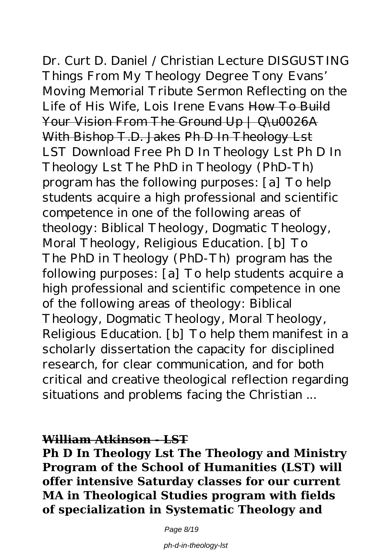*Dr. Curt D. Daniel / Christian Lecture DISGUSTING Things From My Theology Degree Tony Evans' Moving Memorial Tribute Sermon Reflecting on the Life of His Wife, Lois Irene Evans* How To Build Your Vision From The Ground Up | Q\u0026A With Bishop T.D. Jakes Ph D In Theology Lst LST Download Free Ph D In Theology Lst Ph D In Theology Lst The PhD in Theology (PhD-Th) program has the following purposes: [a] To help students acquire a high professional and scientific competence in one of the following areas of theology: Biblical Theology, Dogmatic Theology, Moral Theology, Religious Education. [b] To The PhD in Theology (PhD-Th) program has the following purposes: [a] To help students acquire a high professional and scientific competence in one of the following areas of theology: Biblical Theology, Dogmatic Theology, Moral Theology, Religious Education. [b] To help them manifest in a scholarly dissertation the capacity for disciplined research, for clear communication, and for both critical and creative theological reflection regarding situations and problems facing the Christian ...

#### **William Atkinson - LST**

**Ph D In Theology Lst The Theology and Ministry Program of the School of Humanities (LST) will offer intensive Saturday classes for our current MA in Theological Studies program with fields of specialization in Systematic Theology and**

Page 8/19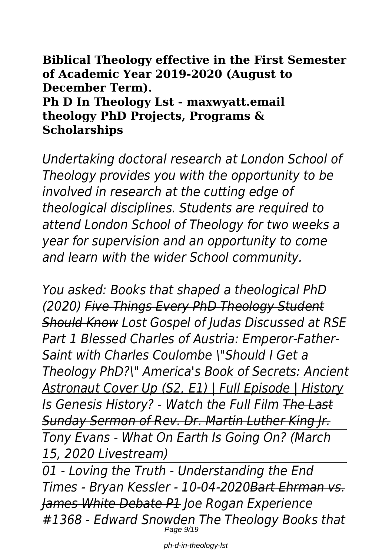**Biblical Theology effective in the First Semester of Academic Year 2019-2020 (August to December Term). Ph D In Theology Lst - maxwyatt.email theology PhD Projects, Programs & Scholarships**

*Undertaking doctoral research at London School of Theology provides you with the opportunity to be involved in research at the cutting edge of theological disciplines. Students are required to attend London School of Theology for two weeks a year for supervision and an opportunity to come and learn with the wider School community.*

*You asked: Books that shaped a theological PhD (2020) Five Things Every PhD Theology Student Should Know Lost Gospel of Judas Discussed at RSE Part 1 Blessed Charles of Austria: Emperor-Father-Saint with Charles Coulombe \"Should I Get a Theology PhD?\" America's Book of Secrets: Ancient Astronaut Cover Up (S2, E1) | Full Episode | History Is Genesis History? - Watch the Full Film The Last Sunday Sermon of Rev. Dr. Martin Luther King Jr. Tony Evans - What On Earth Is Going On? (March 15, 2020 Livestream)*

*01 - Loving the Truth - Understanding the End Times - Bryan Kessler - 10-04-2020Bart Ehrman vs. James White Debate P1 Joe Rogan Experience #1368 - Edward Snowden The Theology Books that* Page 9/19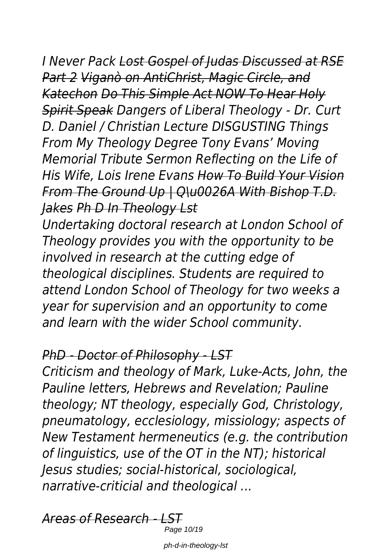*I Never Pack Lost Gospel of Judas Discussed at RSE Part 2 Viganò on AntiChrist, Magic Circle, and Katechon Do This Simple Act NOW To Hear Holy Spirit Speak Dangers of Liberal Theology - Dr. Curt D. Daniel / Christian Lecture DISGUSTING Things From My Theology Degree Tony Evans' Moving Memorial Tribute Sermon Reflecting on the Life of His Wife, Lois Irene Evans How To Build Your Vision From The Ground Up | Q\u0026A With Bishop T.D. Jakes Ph D In Theology Lst*

*Undertaking doctoral research at London School of Theology provides you with the opportunity to be involved in research at the cutting edge of theological disciplines. Students are required to attend London School of Theology for two weeks a year for supervision and an opportunity to come and learn with the wider School community.*

# *PhD - Doctor of Philosophy - LST*

*Criticism and theology of Mark, Luke-Acts, John, the Pauline letters, Hebrews and Revelation; Pauline theology; NT theology, especially God, Christology, pneumatology, ecclesiology, missiology; aspects of New Testament hermeneutics (e.g. the contribution of linguistics, use of the OT in the NT); historical Jesus studies; social-historical, sociological, narrative-criticial and theological ...*

*Areas of Research - LST*

Page 10/19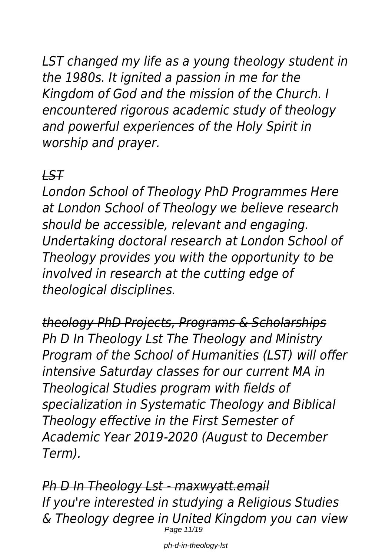*LST changed my life as a young theology student in the 1980s. It ignited a passion in me for the Kingdom of God and the mission of the Church. I encountered rigorous academic study of theology and powerful experiences of the Holy Spirit in worship and prayer.*

# *LST*

*London School of Theology PhD Programmes Here at London School of Theology we believe research should be accessible, relevant and engaging. Undertaking doctoral research at London School of Theology provides you with the opportunity to be involved in research at the cutting edge of theological disciplines.*

*theology PhD Projects, Programs & Scholarships Ph D In Theology Lst The Theology and Ministry Program of the School of Humanities (LST) will offer intensive Saturday classes for our current MA in Theological Studies program with fields of specialization in Systematic Theology and Biblical Theology effective in the First Semester of Academic Year 2019-2020 (August to December Term).*

*Ph D In Theology Lst - maxwyatt.email If you're interested in studying a Religious Studies & Theology degree in United Kingdom you can view* Page 11/19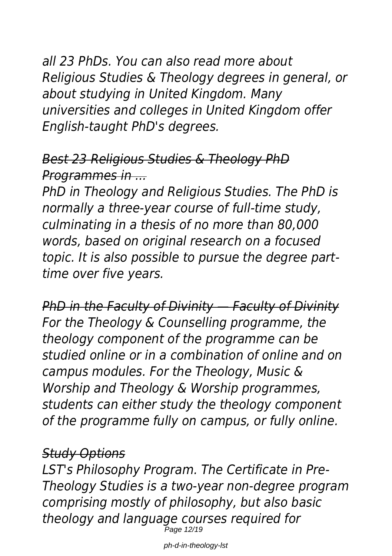*all 23 PhDs. You can also read more about Religious Studies & Theology degrees in general, or about studying in United Kingdom. Many universities and colleges in United Kingdom offer English-taught PhD's degrees.*

# *Best 23 Religious Studies & Theology PhD Programmes in ...*

*PhD in Theology and Religious Studies. The PhD is normally a three-year course of full-time study, culminating in a thesis of no more than 80,000 words, based on original research on a focused topic. It is also possible to pursue the degree parttime over five years.*

*PhD in the Faculty of Divinity — Faculty of Divinity For the Theology & Counselling programme, the theology component of the programme can be studied online or in a combination of online and on campus modules. For the Theology, Music & Worship and Theology & Worship programmes, students can either study the theology component of the programme fully on campus, or fully online.*

# *Study Options*

*LST's Philosophy Program. The Certificate in Pre-Theology Studies is a two-year non-degree program comprising mostly of philosophy, but also basic theology and language courses required for* Page 12/19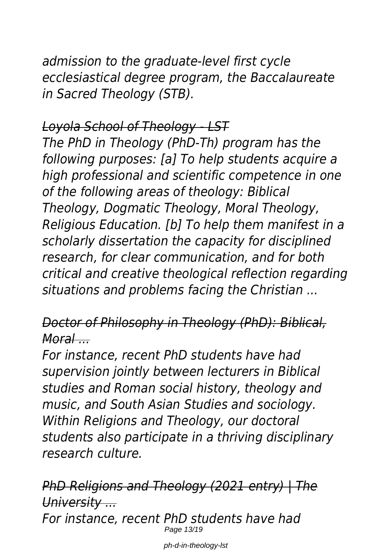*admission to the graduate-level first cycle ecclesiastical degree program, the Baccalaureate in Sacred Theology (STB).*

# *Loyola School of Theology - LST*

*The PhD in Theology (PhD-Th) program has the following purposes: [a] To help students acquire a high professional and scientific competence in one of the following areas of theology: Biblical Theology, Dogmatic Theology, Moral Theology, Religious Education. [b] To help them manifest in a scholarly dissertation the capacity for disciplined research, for clear communication, and for both critical and creative theological reflection regarding situations and problems facing the Christian ...*

# *Doctor of Philosophy in Theology (PhD): Biblical, Moral ...*

*For instance, recent PhD students have had supervision jointly between lecturers in Biblical studies and Roman social history, theology and music, and South Asian Studies and sociology. Within Religions and Theology, our doctoral students also participate in a thriving disciplinary research culture.*

*PhD Religions and Theology (2021 entry) | The University ... For instance, recent PhD students have had* Page 13/19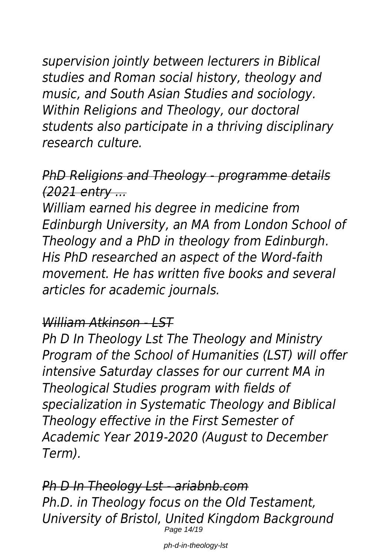*supervision jointly between lecturers in Biblical studies and Roman social history, theology and music, and South Asian Studies and sociology. Within Religions and Theology, our doctoral students also participate in a thriving disciplinary research culture.*

*PhD Religions and Theology - programme details (2021 entry ...*

*William earned his degree in medicine from Edinburgh University, an MA from London School of Theology and a PhD in theology from Edinburgh. His PhD researched an aspect of the Word-faith movement. He has written five books and several articles for academic journals.*

## *William Atkinson - LST*

*Ph D In Theology Lst The Theology and Ministry Program of the School of Humanities (LST) will offer intensive Saturday classes for our current MA in Theological Studies program with fields of specialization in Systematic Theology and Biblical Theology effective in the First Semester of Academic Year 2019-2020 (August to December Term).*

*Ph D In Theology Lst - ariabnb.com Ph.D. in Theology focus on the Old Testament, University of Bristol, United Kingdom Background* Page 14/19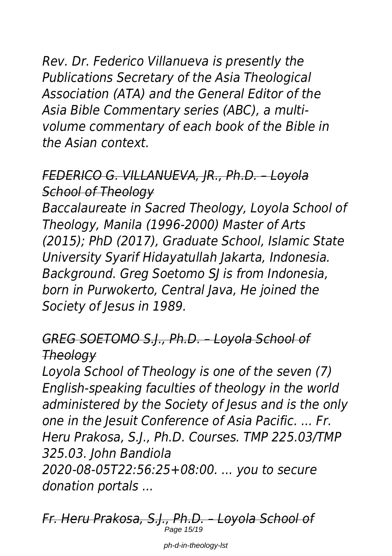*Rev. Dr. Federico Villanueva is presently the Publications Secretary of the Asia Theological Association (ATA) and the General Editor of the Asia Bible Commentary series (ABC), a multivolume commentary of each book of the Bible in the Asian context.*

# *FEDERICO G. VILLANUEVA, JR., Ph.D. – Loyola School of Theology*

*Baccalaureate in Sacred Theology, Loyola School of Theology, Manila (1996-2000) Master of Arts (2015); PhD (2017), Graduate School, Islamic State University Syarif Hidayatullah Jakarta, Indonesia. Background. Greg Soetomo SJ is from Indonesia, born in Purwokerto, Central Java, He joined the Society of Jesus in 1989.*

# *GREG SOETOMO S.J., Ph.D. – Loyola School of Theology*

*Loyola School of Theology is one of the seven (7) English-speaking faculties of theology in the world administered by the Society of Jesus and is the only one in the Jesuit Conference of Asia Pacific. ... Fr. Heru Prakosa, S.J., Ph.D. Courses. TMP 225.03/TMP 325.03. John Bandiola 2020-08-05T22:56:25+08:00. ... you to secure*

*donation portals ...*

*Fr. Heru Prakosa, S.J., Ph.D. – Loyola School of* Page 15/19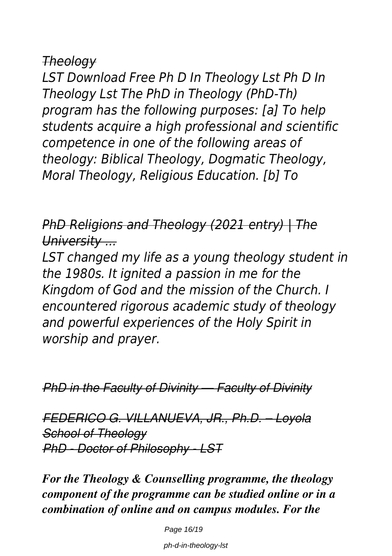### *Theology*

*LST Download Free Ph D In Theology Lst Ph D In Theology Lst The PhD in Theology (PhD-Th) program has the following purposes: [a] To help students acquire a high professional and scientific competence in one of the following areas of theology: Biblical Theology, Dogmatic Theology, Moral Theology, Religious Education. [b] To*

*PhD Religions and Theology (2021 entry) | The University ...*

*LST changed my life as a young theology student in the 1980s. It ignited a passion in me for the Kingdom of God and the mission of the Church. I encountered rigorous academic study of theology and powerful experiences of the Holy Spirit in worship and prayer.*

*PhD in the Faculty of Divinity — Faculty of Divinity*

*FEDERICO G. VILLANUEVA, JR., Ph.D. – Loyola School of Theology PhD - Doctor of Philosophy - LST*

*For the Theology & Counselling programme, the theology component of the programme can be studied online or in a combination of online and on campus modules. For the*

Page 16/19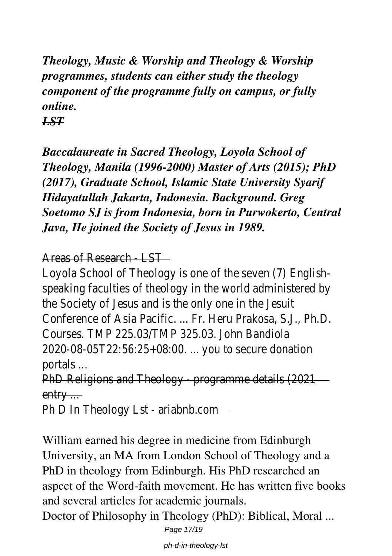*Theology, Music & Worship and Theology & Worship programmes, students can either study the theology component of the programme fully on campus, or fully online. LST*

*Baccalaureate in Sacred Theology, Loyola School of Theology, Manila (1996-2000) Master of Arts (2015); PhD (2017), Graduate School, Islamic State University Syarif Hidayatullah Jakarta, Indonesia. Background. Greg Soetomo SJ is from Indonesia, born in Purwokerto, Central Java, He joined the Society of Jesus in 1989.*

Areas of Research  $\frac{1}{s}$ 

Loyola School of Theology is one of the seven speaking faculties of theology in the world admi the Society of Jesus and is the only one in Conference of Asia Pacific. ... Fr. Heru Prakosa Courses. TMP 225.03/TMP 325.03. John 2020-08-05T22:56:25+08:00. ... you to secure portals

PhD Religions and Theology - programme details (2021) entry ...

Ph D In Theology Lst - ariabr

William earned his degree in medicine from Edinburgh University, an MA from London School of Theology and a PhD in theology from Edinburgh. His PhD researched an aspect of the Word-faith movement. He has written five books and several articles for academic journals.

Doctor of Philosophy in Theology (PhD): Biblical, Moral ... Page 17/19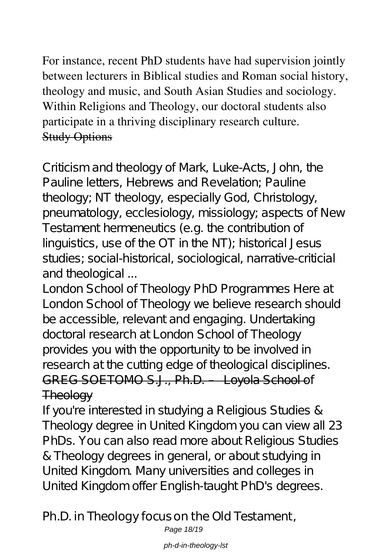For instance, recent PhD students have had supervision jointly between lecturers in Biblical studies and Roman social history, theology and music, and South Asian Studies and sociology. Within Religions and Theology, our doctoral students also participate in a thriving disciplinary research culture. Study Options

Criticism and theology of Mark, Luke-Acts, John, the Pauline letters, Hebrews and Revelation; Pauline theology; NT theology, especially God, Christology, pneumatology, ecclesiology, missiology; aspects of New Testament hermeneutics (e.g. the contribution of linguistics, use of the OT in the NT); historical Jesus studies; social-historical, sociological, narrative-criticial and theological ...

London School of Theology PhD Programmes Here at London School of Theology we believe research should be accessible, relevant and engaging. Undertaking doctoral research at London School of Theology provides you with the opportunity to be involved in research at the cutting edge of theological disciplines. GREG SOETOMO S.J., Ph.D. – Loyola School of **Theology** 

If you're interested in studying a Religious Studies & Theology degree in United Kingdom you can view all 23 PhDs. You can also read more about Religious Studies & Theology degrees in general, or about studying in United Kingdom. Many universities and colleges in United Kingdom offer English-taught PhD's degrees.

# Ph.D. in Theology focus on the Old Testament,

Page 18/19